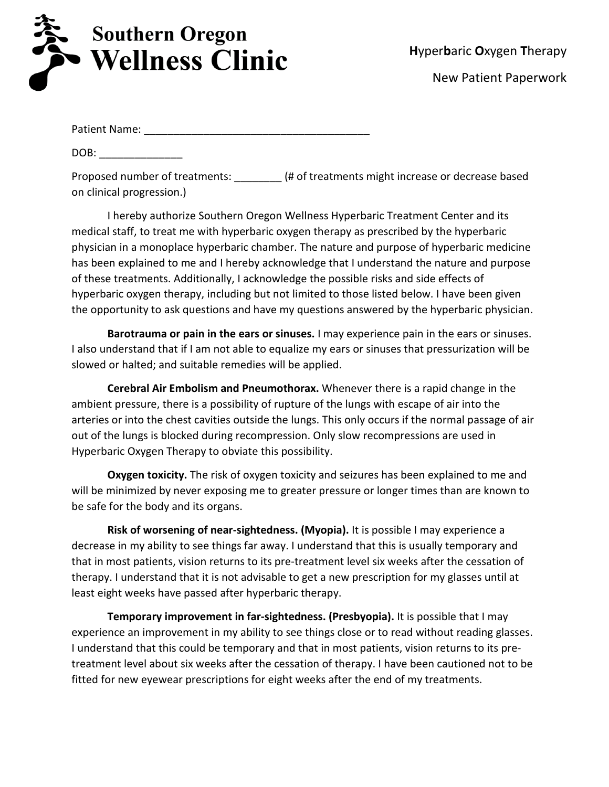

Patient Name: \_\_\_\_\_\_\_\_\_\_\_\_\_\_\_\_\_\_\_\_\_\_\_\_\_\_\_\_\_\_\_\_\_\_\_\_\_\_

DOB:

Proposed number of treatments:  $(4)$  of treatments might increase or decrease based on clinical progression.)

I hereby authorize Southern Oregon Wellness Hyperbaric Treatment Center and its medical staff, to treat me with hyperbaric oxygen therapy as prescribed by the hyperbaric physician in a monoplace hyperbaric chamber. The nature and purpose of hyperbaric medicine has been explained to me and I hereby acknowledge that I understand the nature and purpose of these treatments. Additionally, I acknowledge the possible risks and side effects of hyperbaric oxygen therapy, including but not limited to those listed below. I have been given the opportunity to ask questions and have my questions answered by the hyperbaric physician.

**Barotrauma or pain in the ears or sinuses.** I may experience pain in the ears or sinuses. I also understand that if I am not able to equalize my ears or sinuses that pressurization will be slowed or halted; and suitable remedies will be applied.

**Cerebral Air Embolism and Pneumothorax.** Whenever there is a rapid change in the ambient pressure, there is a possibility of rupture of the lungs with escape of air into the arteries or into the chest cavities outside the lungs. This only occurs if the normal passage of air out of the lungs is blocked during recompression. Only slow recompressions are used in Hyperbaric Oxygen Therapy to obviate this possibility.

**Oxygen toxicity.** The risk of oxygen toxicity and seizures has been explained to me and will be minimized by never exposing me to greater pressure or longer times than are known to be safe for the body and its organs.

**Risk of worsening of near-sightedness. (Myopia).** It is possible I may experience a decrease in my ability to see things far away. I understand that this is usually temporary and that in most patients, vision returns to its pre-treatment level six weeks after the cessation of therapy. I understand that it is not advisable to get a new prescription for my glasses until at least eight weeks have passed after hyperbaric therapy.

**Temporary improvement in far-sightedness. (Presbyopia).** It is possible that I may experience an improvement in my ability to see things close or to read without reading glasses. I understand that this could be temporary and that in most patients, vision returns to its pretreatment level about six weeks after the cessation of therapy. I have been cautioned not to be fitted for new eyewear prescriptions for eight weeks after the end of my treatments.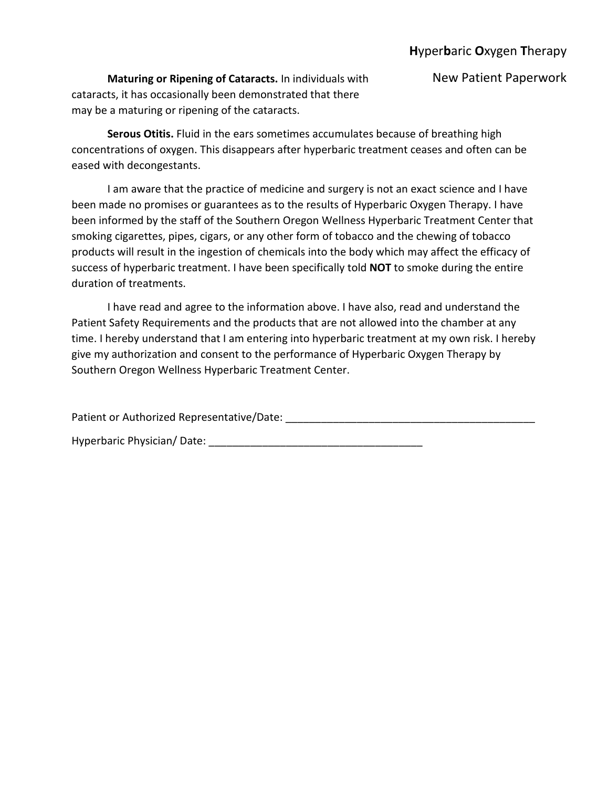**Maturing or Ripening of Cataracts.** In individuals with New Patient Paperwork cataracts, it has occasionally been demonstrated that there may be a maturing or ripening of the cataracts.

**Serous Otitis.** Fluid in the ears sometimes accumulates because of breathing high concentrations of oxygen. This disappears after hyperbaric treatment ceases and often can be eased with decongestants.

I am aware that the practice of medicine and surgery is not an exact science and I have been made no promises or guarantees as to the results of Hyperbaric Oxygen Therapy. I have been informed by the staff of the Southern Oregon Wellness Hyperbaric Treatment Center that smoking cigarettes, pipes, cigars, or any other form of tobacco and the chewing of tobacco products will result in the ingestion of chemicals into the body which may affect the efficacy of success of hyperbaric treatment. I have been specifically told **NOT** to smoke during the entire duration of treatments.

I have read and agree to the information above. I have also, read and understand the Patient Safety Requirements and the products that are not allowed into the chamber at any time. I hereby understand that I am entering into hyperbaric treatment at my own risk. I hereby give my authorization and consent to the performance of Hyperbaric Oxygen Therapy by Southern Oregon Wellness Hyperbaric Treatment Center.

Patient or Authorized Representative/Date: \_\_\_\_\_\_\_\_\_\_\_\_\_\_\_\_\_\_\_\_\_\_\_\_\_\_\_\_\_\_\_\_\_\_\_\_\_\_\_\_\_\_

Hyperbaric Physician/ Date: \_\_\_\_\_\_\_\_\_\_\_\_\_\_\_\_\_\_\_\_\_\_\_\_\_\_\_\_\_\_\_\_\_\_\_\_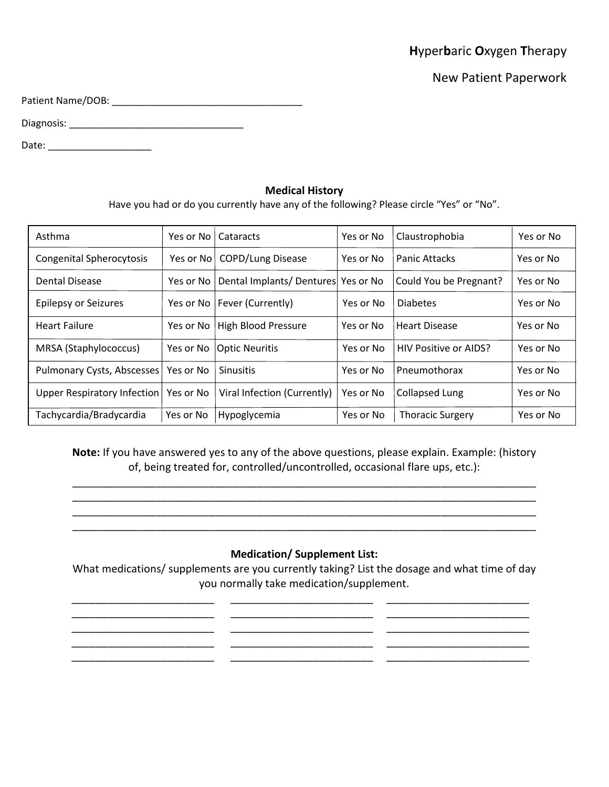|  | Hyperbaric Oxygen Therapy |
|--|---------------------------|
|--|---------------------------|

New Patient Paperwork

Patient Name/DOB: \_\_\_\_\_\_\_\_\_\_\_\_\_\_\_\_\_\_\_\_\_\_\_\_\_\_\_\_\_\_\_\_\_\_\_

Diagnosis: \_\_\_\_\_\_\_\_\_\_\_\_\_\_\_\_\_\_\_\_\_\_\_\_\_\_\_\_\_\_\_\_

Date: \_\_\_\_\_\_\_\_\_\_\_\_\_\_\_\_\_\_\_

## **Medical History**

Have you had or do you currently have any of the following? Please circle "Yes" or "No".

| Asthma                          | Yes or No | Cataracts                          | Yes or No | Claustrophobia          | Yes or No |
|---------------------------------|-----------|------------------------------------|-----------|-------------------------|-----------|
| <b>Congenital Spherocytosis</b> | Yes or No | <b>COPD/Lung Disease</b>           | Yes or No | Panic Attacks           | Yes or No |
| Dental Disease                  | Yes or No | Dental Implants/Dentures Yes or No |           | Could You be Pregnant?  | Yes or No |
| <b>Epilepsy or Seizures</b>     |           | Yes or No   Fever (Currently)      | Yes or No | <b>Diabetes</b>         | Yes or No |
| <b>Heart Failure</b>            |           | Yes or No   High Blood Pressure    | Yes or No | <b>Heart Disease</b>    | Yes or No |
| MRSA (Staphylococcus)           |           | Yes or No   Optic Neuritis         | Yes or No | HIV Positive or AIDS?   | Yes or No |
| Pulmonary Cysts, Abscesses      | Yes or No | <b>Sinusitis</b>                   | Yes or No | Pneumothorax            | Yes or No |
| Upper Respiratory Infection     | Yes or No | Viral Infection (Currently)        | Yes or No | <b>Collapsed Lung</b>   | Yes or No |
| Tachycardia/Bradycardia         | Yes or No | Hypoglycemia                       | Yes or No | <b>Thoracic Surgery</b> | Yes or No |

**Note:** If you have answered yes to any of the above questions, please explain. Example: (history of, being treated for, controlled/uncontrolled, occasional flare ups, etc.):

\_\_\_\_\_\_\_\_\_\_\_\_\_\_\_\_\_\_\_\_\_\_\_\_\_\_\_\_\_\_\_\_\_\_\_\_\_\_\_\_\_\_\_\_\_\_\_\_\_\_\_\_\_\_\_\_\_\_\_\_\_\_\_\_\_\_\_\_\_\_\_\_\_\_\_\_\_\_ \_\_\_\_\_\_\_\_\_\_\_\_\_\_\_\_\_\_\_\_\_\_\_\_\_\_\_\_\_\_\_\_\_\_\_\_\_\_\_\_\_\_\_\_\_\_\_\_\_\_\_\_\_\_\_\_\_\_\_\_\_\_\_\_\_\_\_\_\_\_\_\_\_\_\_\_\_\_ \_\_\_\_\_\_\_\_\_\_\_\_\_\_\_\_\_\_\_\_\_\_\_\_\_\_\_\_\_\_\_\_\_\_\_\_\_\_\_\_\_\_\_\_\_\_\_\_\_\_\_\_\_\_\_\_\_\_\_\_\_\_\_\_\_\_\_\_\_\_\_\_\_\_\_\_\_\_ \_\_\_\_\_\_\_\_\_\_\_\_\_\_\_\_\_\_\_\_\_\_\_\_\_\_\_\_\_\_\_\_\_\_\_\_\_\_\_\_\_\_\_\_\_\_\_\_\_\_\_\_\_\_\_\_\_\_\_\_\_\_\_\_\_\_\_\_\_\_\_\_\_\_\_\_\_\_

# **Medication/ Supplement List:**

What medications/ supplements are you currently taking? List the dosage and what time of day you normally take medication/supplement.

\_\_\_\_\_\_\_\_\_\_\_\_\_\_\_\_\_\_\_\_\_\_\_\_ \_\_\_\_\_\_\_\_\_\_\_\_\_\_\_\_\_\_\_\_\_\_\_\_ \_\_\_\_\_\_\_\_\_\_\_\_\_\_\_\_\_\_\_\_\_\_\_\_ \_\_\_\_\_\_\_\_\_\_\_\_\_\_\_\_\_\_\_\_\_\_\_\_ \_\_\_\_\_\_\_\_\_\_\_\_\_\_\_\_\_\_\_\_\_\_\_\_ \_\_\_\_\_\_\_\_\_\_\_\_\_\_\_\_\_\_\_\_\_\_\_\_ \_\_\_\_\_\_\_\_\_\_\_\_\_\_\_\_\_\_\_\_\_\_\_\_ \_\_\_\_\_\_\_\_\_\_\_\_\_\_\_\_\_\_\_\_\_\_\_\_ \_\_\_\_\_\_\_\_\_\_\_\_\_\_\_\_\_\_\_\_\_\_\_\_ \_\_\_\_\_\_\_\_\_\_\_\_\_\_\_\_\_\_\_\_\_\_\_\_ \_\_\_\_\_\_\_\_\_\_\_\_\_\_\_\_\_\_\_\_\_\_\_\_ \_\_\_\_\_\_\_\_\_\_\_\_\_\_\_\_\_\_\_\_\_\_\_\_ \_\_\_\_\_\_\_\_\_\_\_\_\_\_\_\_\_\_\_\_\_\_\_\_ \_\_\_\_\_\_\_\_\_\_\_\_\_\_\_\_\_\_\_\_\_\_\_\_ \_\_\_\_\_\_\_\_\_\_\_\_\_\_\_\_\_\_\_\_\_\_\_\_